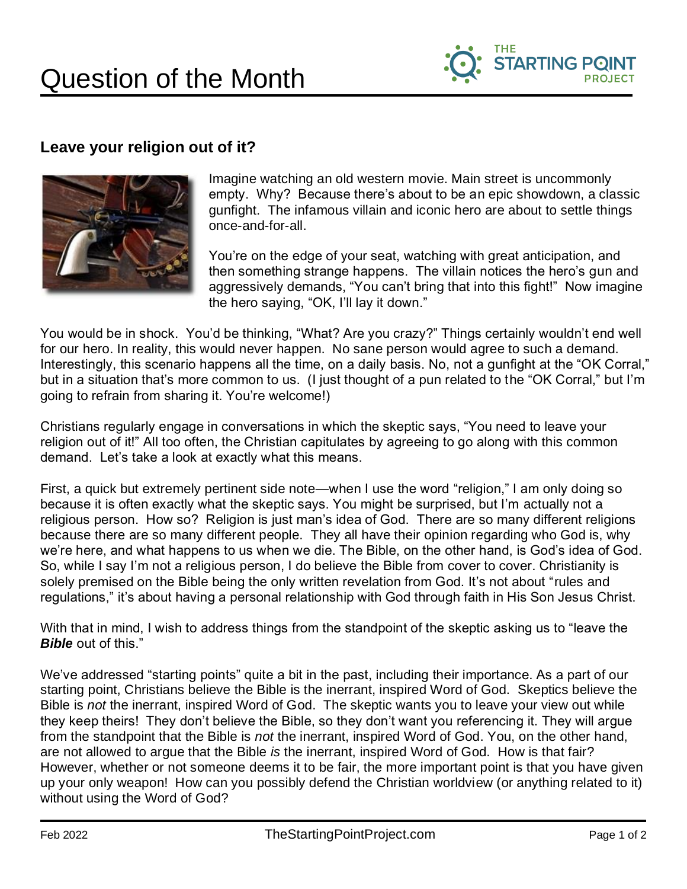

## **Leave your religion out of it?**



Imagine watching an old western movie. Main street is uncommonly empty. Why? Because there's about to be an epic showdown, a classic gunfight. The infamous villain and iconic hero are about to settle things once-and-for-all.

You're on the edge of your seat, watching with great anticipation, and then something strange happens. The villain notices the hero's gun and aggressively demands, "You can't bring that into this fight!" Now imagine the hero saying, "OK, I'll lay it down."

You would be in shock. You'd be thinking, "What? Are you crazy?" Things certainly wouldn't end well for our hero. In reality, this would never happen. No sane person would agree to such a demand. Interestingly, this scenario happens all the time, on a daily basis. No, not a gunfight at the "OK Corral," but in a situation that's more common to us. (I just thought of a pun related to the "OK Corral," but I'm going to refrain from sharing it. You're welcome!)

Christians regularly engage in conversations in which the skeptic says, "You need to leave your religion out of it!" All too often, the Christian capitulates by agreeing to go along with this common demand. Let's take a look at exactly what this means.

First, a quick but extremely pertinent side note—when I use the word "religion," I am only doing so because it is often exactly what the skeptic says. You might be surprised, but I'm actually not a religious person. How so? Religion is just man's idea of God. There are so many different religions because there are so many different people. They all have their opinion regarding who God is, why we're here, and what happens to us when we die. The Bible, on the other hand, is God's idea of God. So, while I say I'm not a religious person, I do believe the Bible from cover to cover. Christianity is solely premised on the Bible being the only written revelation from God. It's not about "rules and regulations," it's about having a personal relationship with God through faith in His Son Jesus Christ.

With that in mind, I wish to address things from the standpoint of the skeptic asking us to "leave the *Bible* out of this."

We've addressed "starting points" quite a bit in the past, including their importance. As a part of our starting point, Christians believe the Bible is the inerrant, inspired Word of God. Skeptics believe the Bible is *not* the inerrant, inspired Word of God. The skeptic wants you to leave your view out while they keep theirs! They don't believe the Bible, so they don't want you referencing it. They will argue from the standpoint that the Bible is *not* the inerrant, inspired Word of God. You, on the other hand, are not allowed to argue that the Bible *is* the inerrant, inspired Word of God. How is that fair? However, whether or not someone deems it to be fair, the more important point is that you have given up your only weapon! How can you possibly defend the Christian worldview (or anything related to it) without using the Word of God?